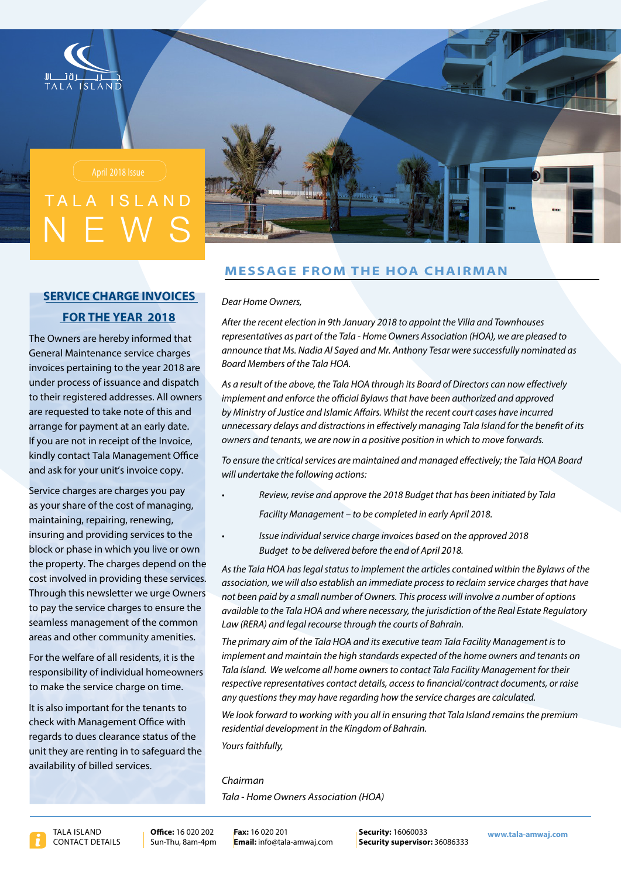

# ISIAND



# **MESSAGE FROM THE HOA CHAIRMAN**

#### Dear Home Owners.

After the recent election in 9th January 2018 to appoint the Villa and Townhouses representatives as part of the Tala - Home Owners Association (HOA), we are pleased to announce that Ms. Nadia Al Sayed and Mr. Anthony Tesar were successfully nominated as **Board Members of the Tala HOA.** 

As a result of the above, the Tala HOA through its Board of Directors can now effectively *implement and enforce the official Bylaws that have been authorized and approved* by Ministry of Justice and Islamic Affairs. Whilst the recent court cases have incurred unnecessary delays and distractions in effectively managing Tala Island for the benefit of its *owners and tenants, we are now in a positive position in which to move forwards.* 

To ensure the critical services are maintained and managed effectively; the Tala HOA Board *will undertake the following actions:* 

- *Review, revise and approve the 2018 Budget that has been initiated by Tala* Facility Management – to be completed in early April 2018.
- *Issue individual service charge invoices based on the approved 2018 Budget* to be delivered before the end of April 2018.

As the Tala HOA has legal status to implement the articles contained within the Bylaws of the association, we will also establish an immediate process to reclaim service charges that have not been paid by a small number of Owners. This process will involve a number of options available to the Tala HOA and where necessary, the jurisdiction of the Real Estate Regulatory Law (RERA) and legal recourse through the courts of Bahrain.

The primary aim of the Tala HOA and its executive team Tala Facility Management is to *implement and maintain the high standards expected of the home owners and tenants on* Tala Island. We welcome all home owners to contact Tala Facility Management for their *respective representatives contact details, access to financial/contract documents, or raise* any questions they may have regarding how the service charges are calculated.

*We look forward to working with you all in ensuring that Tala Island remains the premium* residential development in the Kingdom of Bahrain.

Yours faithfully,

#### *Chairman*

*(HOA (Association Owners Home - Tala*



The Owners are hereby informed that General Maintenance service charges invoices pertaining to the year 2018 are under process of issuance and dispatch to their registered addresses. All owners are requested to take note of this and arrange for payment at an early date. If you are not in receipt of the Invoice, kindly contact Tala Management Office and ask for your unit's invoice copy.

Service charges are charges you pay as your share of the cost of managing, maintaining, repairing, renewing, insuring and providing services to the block or phase in which you live or own the property. The charges depend on the cost involved in providing these services. Through this newsletter we urge Owners to pay the service charges to ensure the seamless management of the common areas and other community amenities.

For the welfare of all residents, it is the responsibility of individual homeowners to make the service charge on time.

It is also important for the tenants to check with Management Office with regards to dues clearance status of the unit they are renting in to safeguard the availability of billed services.

TALA ISLAND